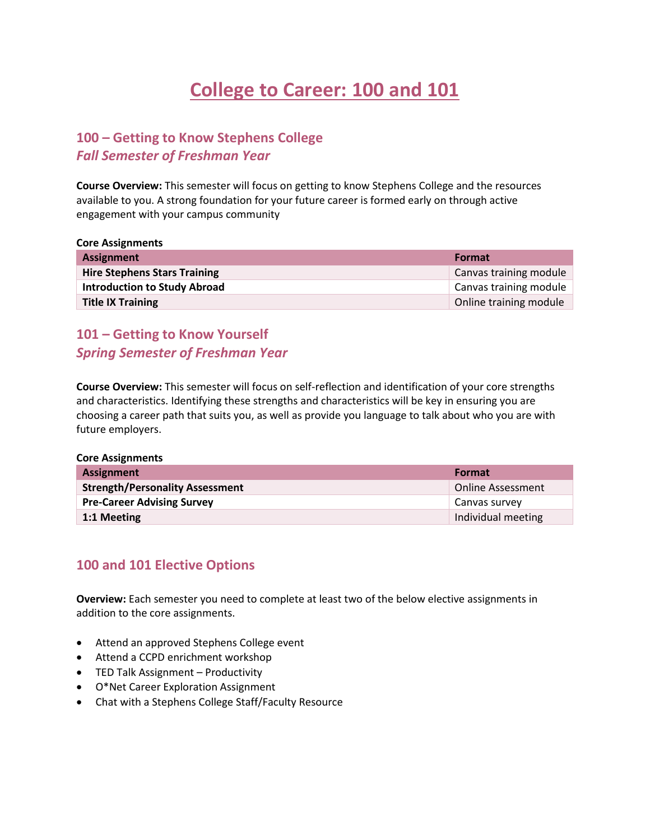# **College to Career: 100 and 101**

# **100 – Getting to Know Stephens College** *Fall Semester of Freshman Year*

**Course Overview:** This semester will focus on getting to know Stephens College and the resources available to you. A strong foundation for your future career is formed early on through active engagement with your campus community

**Core Assignments**

| <b>Assignment</b>                   | <b>Format</b>          |
|-------------------------------------|------------------------|
| <b>Hire Stephens Stars Training</b> | Canvas training module |
| <b>Introduction to Study Abroad</b> | Canvas training module |
| <b>Title IX Training</b>            | Online training module |

# **101 – Getting to Know Yourself** *Spring Semester of Freshman Year*

**Course Overview:** This semester will focus on self-reflection and identification of your core strengths and characteristics. Identifying these strengths and characteristics will be key in ensuring you are choosing a career path that suits you, as well as provide you language to talk about who you are with future employers.

#### **Core Assignments**

| <b>Assignment</b>                      | <b>Format</b>            |
|----------------------------------------|--------------------------|
| <b>Strength/Personality Assessment</b> | <b>Online Assessment</b> |
| <b>Pre-Career Advising Survey</b>      | Canvas survey            |
| 1:1 Meeting                            | Individual meeting       |

### **100 and 101 Elective Options**

**Overview:** Each semester you need to complete at least two of the below elective assignments in addition to the core assignments.

- Attend an approved Stephens College event
- Attend a CCPD enrichment workshop
- TED Talk Assignment Productivity
- O\*Net Career Exploration Assignment
- Chat with a Stephens College Staff/Faculty Resource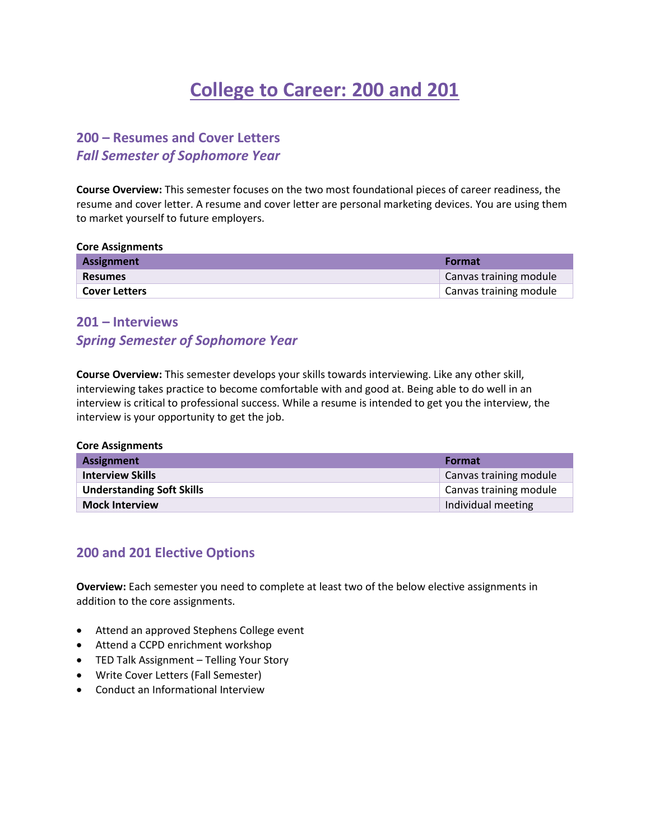# **College to Career: 200 and 201**

### **200 – Resumes and Cover Letters** *Fall Semester of Sophomore Year*

**Course Overview:** This semester focuses on the two most foundational pieces of career readiness, the resume and cover letter. A resume and cover letter are personal marketing devices. You are using them to market yourself to future employers.

**Core Assignments**

| <b>Assignment</b>    | <b>Format</b>          |
|----------------------|------------------------|
| <b>Resumes</b>       | Canvas training module |
| <b>Cover Letters</b> | Canvas training module |

# **201 – Interviews** *Spring Semester of Sophomore Year*

**Course Overview:** This semester develops your skills towards interviewing. Like any other skill, interviewing takes practice to become comfortable with and good at. Being able to do well in an interview is critical to professional success. While a resume is intended to get you the interview, the interview is your opportunity to get the job.

| <b>Core Assignments</b>          |                        |  |
|----------------------------------|------------------------|--|
| Assignment                       | Format                 |  |
| <b>Interview Skills</b>          | Canvas training module |  |
| <b>Understanding Soft Skills</b> | Canvas training module |  |
| <b>Mock Interview</b>            | Individual meeting     |  |

### **200 and 201 Elective Options**

**Overview:** Each semester you need to complete at least two of the below elective assignments in addition to the core assignments.

- Attend an approved Stephens College event
- Attend a CCPD enrichment workshop
- TED Talk Assignment Telling Your Story
- Write Cover Letters (Fall Semester)
- Conduct an Informational Interview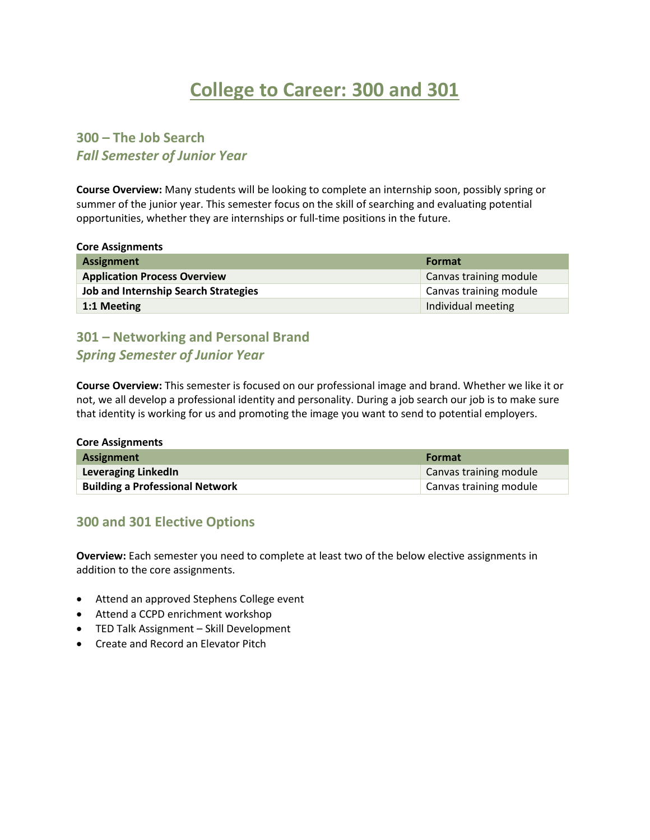# **College to Career: 300 and 301**

## **300 – The Job Search** *Fall Semester of Junior Year*

**Course Overview:** Many students will be looking to complete an internship soon, possibly spring or summer of the junior year. This semester focus on the skill of searching and evaluating potential opportunities, whether they are internships or full-time positions in the future.

**Core Assignments**

| <b>Assignment</b>                           | Format                 |
|---------------------------------------------|------------------------|
| <b>Application Process Overview</b>         | Canvas training module |
| <b>Job and Internship Search Strategies</b> | Canvas training module |
| 1:1 Meeting                                 | Individual meeting     |

## **301 – Networking and Personal Brand** *Spring Semester of Junior Year*

**Course Overview:** This semester is focused on our professional image and brand. Whether we like it or not, we all develop a professional identity and personality. During a job search our job is to make sure that identity is working for us and promoting the image you want to send to potential employers.

| <b>Core Assignments</b>                |                        |
|----------------------------------------|------------------------|
| <b>Assignment</b>                      | <b>Format</b>          |
| Leveraging LinkedIn                    | Canvas training module |
| <b>Building a Professional Network</b> | Canvas training module |

### **300 and 301 Elective Options**

**Overview:** Each semester you need to complete at least two of the below elective assignments in addition to the core assignments.

- Attend an approved Stephens College event
- Attend a CCPD enrichment workshop
- TED Talk Assignment Skill Development
- Create and Record an Elevator Pitch